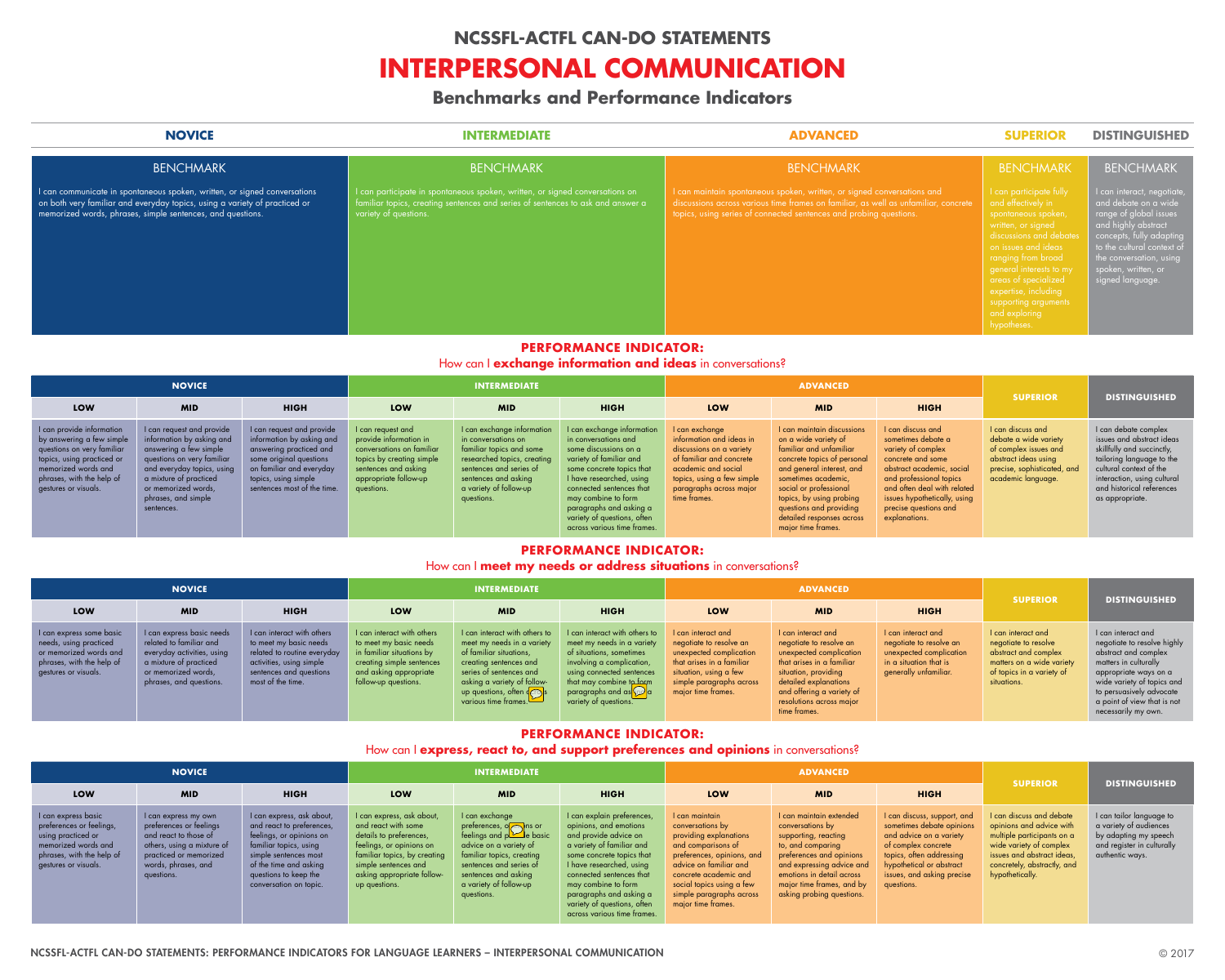### **NOVICE INTERMEDIATE ADVANCED SUPERIOR DISTINGUISHED**

| <b>BENCHMARK</b>                                                                                                                                                                                                                                    | <b>BENCHMARK</b>                                                                                                                                                                         |                                                                                         |
|-----------------------------------------------------------------------------------------------------------------------------------------------------------------------------------------------------------------------------------------------------|------------------------------------------------------------------------------------------------------------------------------------------------------------------------------------------|-----------------------------------------------------------------------------------------|
| I can communicate in spontaneous spoken, written, or signed conversations<br>$\overline{1}$ on both very familiar and everyday topics, using a variety of practiced or $\overline{1}$<br>memorized words, phrases, simple sentences, and questions. | l can participate in spontaneous spoken, written, or signed conversations on<br>familiar topics, creating sentences and series of sentences to ask and answer a<br>variety of questions. | I can maintain spontaneou<br>discussions across various<br>topics, using series of cont |
|                                                                                                                                                                                                                                                     |                                                                                                                                                                                          |                                                                                         |

### BENCHMARK

spoken, written, or signed conversations and me frames on familiar, as well as unfamiliar, concrete tred sentences and probing questions.

### BENCHMARK

### BENCHMARK

I can interact, negotiate, and debate on a wide range of global issues and highly abstract concepts, fully adapting to the cultural context of the conversation, using spoken, written, or signed language.

### **PERFORMANCE INDICATOR:** How can I **exchange information and ideas** in conversations?

| <b>NOVICE</b>                                                                                                                                                                                  |                                                                                                                                                                                                                                    |                                                                                                                                                                                                 | <b>INTERMEDIATE</b>                                                                                                                                                  |                                                                                                                                                                                                         |                                                                                                                                                                                                                                                                                                             |                                                                                                                                                                                                    | <b>ADVANCED</b>                                                                                                                                                                                                                                                                                      |                                                                                                                                                                                                                                                     |                                                                                                                                                  |                                                                                                                                                                                                                        |
|------------------------------------------------------------------------------------------------------------------------------------------------------------------------------------------------|------------------------------------------------------------------------------------------------------------------------------------------------------------------------------------------------------------------------------------|-------------------------------------------------------------------------------------------------------------------------------------------------------------------------------------------------|----------------------------------------------------------------------------------------------------------------------------------------------------------------------|---------------------------------------------------------------------------------------------------------------------------------------------------------------------------------------------------------|-------------------------------------------------------------------------------------------------------------------------------------------------------------------------------------------------------------------------------------------------------------------------------------------------------------|----------------------------------------------------------------------------------------------------------------------------------------------------------------------------------------------------|------------------------------------------------------------------------------------------------------------------------------------------------------------------------------------------------------------------------------------------------------------------------------------------------------|-----------------------------------------------------------------------------------------------------------------------------------------------------------------------------------------------------------------------------------------------------|--------------------------------------------------------------------------------------------------------------------------------------------------|------------------------------------------------------------------------------------------------------------------------------------------------------------------------------------------------------------------------|
| LOW                                                                                                                                                                                            | <b>MID</b>                                                                                                                                                                                                                         | <b>HIGH</b>                                                                                                                                                                                     | LOW                                                                                                                                                                  | <b>MID</b>                                                                                                                                                                                              | <b>HIGH</b>                                                                                                                                                                                                                                                                                                 | <b>LOW</b>                                                                                                                                                                                         | <b>MID</b>                                                                                                                                                                                                                                                                                           | <b>HIGH</b>                                                                                                                                                                                                                                         | <b>SUPERIOR</b>                                                                                                                                  | <b>DISTINGUISHED</b>                                                                                                                                                                                                   |
| I can provide information<br>by answering a few simple<br>questions on very familiar<br>topics, using practiced or<br>memorized words and<br>phrases, with the help of<br>gestures or visuals. | I can request and provide<br>information by asking and<br>answering a few simple<br>questions on very familiar<br>and everyday topics, using<br>a mixture of practiced<br>or memorized words,<br>phrases, and simple<br>sentences. | I can request and provide<br>information by asking and<br>answering practiced and<br>some original questions<br>on familiar and everyday<br>topics, using simple<br>sentences most of the time. | I can request and<br>provide information in<br>conversations on familiar<br>topics by creating simple<br>sentences and asking<br>appropriate follow-up<br>questions. | I can exchange information<br>in conversations on<br>familiar topics and some<br>researched topics, creating<br>sentences and series of<br>sentences and asking<br>a variety of follow-up<br>questions. | I can exchange information<br>in conversations and<br>some discussions on a<br>variety of familiar and<br>some concrete topics that<br>I have researched, using<br>connected sentences that<br>may combine to form<br>paragraphs and asking a<br>variety of questions, often<br>across various time frames. | I can exchange<br>information and ideas in<br>discussions on a variety<br>of familiar and concrete<br>academic and social<br>topics, using a few simple<br>paragraphs across major<br>time frames. | I can maintain discussions<br>on a wide variety of<br>familiar and unfamiliar<br>concrete topics of personal<br>and general interest, and<br>sometimes academic,<br>social or professional<br>topics, by using probing<br>questions and providing<br>detailed responses across<br>major time frames. | I can discuss and<br>sometimes debate a<br>variety of complex<br>concrete and some<br>abstract academic, social<br>and professional topics<br>and often deal with related<br>issues hypothetically, using<br>precise questions and<br>explanations. | I can discuss and<br>debate a wide variety<br>of complex issues and<br>abstract ideas using<br>precise, sophisticated, and<br>academic language. | I can debate complex<br>issues and abstract ideas<br>skillfully and succinctly,<br>tailoring language to the<br>cultural context of the<br>interaction, using cultural<br>and historical references<br>as appropriate. |

# **PERFORMANCE INDICATOR:**

### How can I **meet my needs or address situations** in conversations? **NOVICE INTERMEDIATE ADVANCED LOW MID HIGH LOW MID HIGH LOW MID HIGH** I can express some basic needs, using practiced or memorized words and phrases, with the help of gestures or visuals. I can express basic needs related to familiar and everyday activities, using a mixture of practiced or memorized words, phrases, and questions. I can interact with others to meet my basic needs related to routine everyday activities, using simple sentences and questions most of the time. I can interact with others to meet my basic needs in familiar situations by creating simple sentences and asking appropriate follow-up questions. I can interact with others to meet my needs in a variety of familiar situations, creating sentences and series of sentences and asking a variety of followup questions, often d<sub>C</sub>ross various time frames. I can interact with others to meet my needs in a variety of situations, sometimes involving a complication, using connected sentences that may combine to form paragraphs and as  $\boxed{\mathcal{D}}$ a variety of questions. I can interact and negotiate to resolve an unexpected complication that arises in a familiar situation, using a few simple paragraphs across major time frames.

| <b>ADVANCED</b>                                                                                                                                                                                                                 |                                                                                                                             |                                                                                                                                             |                                                                                                                                                                                                                                            |  |  |
|---------------------------------------------------------------------------------------------------------------------------------------------------------------------------------------------------------------------------------|-----------------------------------------------------------------------------------------------------------------------------|---------------------------------------------------------------------------------------------------------------------------------------------|--------------------------------------------------------------------------------------------------------------------------------------------------------------------------------------------------------------------------------------------|--|--|
| <b>MID</b>                                                                                                                                                                                                                      | <b>HIGH</b>                                                                                                                 | <b>SUPERIOR</b>                                                                                                                             | <b>DISTINGUISHED</b>                                                                                                                                                                                                                       |  |  |
| I can interact and<br>negotiate to resolve an<br>unexpected complication<br>that arises in a familiar<br>situation, providing<br>detailed explanations<br>and offering a variety of<br>resolutions across major<br>time frames. | I can interact and<br>negotiate to resolve an<br>unexpected complication<br>in a situation that is<br>generally unfamiliar. | I can interact and<br>negotiate to resolve<br>abstract and complex<br>matters on a wide variety<br>of topics in a variety of<br>situations. | Lcan interact and<br>negotiate to resolve highly<br>abstract and complex<br>matters in culturally<br>appropriate ways on a<br>wide variety of topics and<br>to persuasively advocate<br>a point of view that is not<br>necessarily my own. |  |  |

## **PERFORMANCE INDICATOR:** How can I **express, react to, and support preferences and opinions** in conversations?

| <b>NOVICE</b>                                                                                                                                     |                                                                                                                                                                       |                                                                                                                                                                                                                    | <b>INTERMEDIATE</b>                                                                                                                                                                                            |                                                                                                                                                                                                                       |                                                                                                                                                                                                                                                                                                                 |                                                                                                                                                                                                                                                    | <b>ADVANCED</b>                                                                                                                                                                                                                          |                                                                                                                                                                                                                |                                                                                                                                                                                               |                                                                                                                              |
|---------------------------------------------------------------------------------------------------------------------------------------------------|-----------------------------------------------------------------------------------------------------------------------------------------------------------------------|--------------------------------------------------------------------------------------------------------------------------------------------------------------------------------------------------------------------|----------------------------------------------------------------------------------------------------------------------------------------------------------------------------------------------------------------|-----------------------------------------------------------------------------------------------------------------------------------------------------------------------------------------------------------------------|-----------------------------------------------------------------------------------------------------------------------------------------------------------------------------------------------------------------------------------------------------------------------------------------------------------------|----------------------------------------------------------------------------------------------------------------------------------------------------------------------------------------------------------------------------------------------------|------------------------------------------------------------------------------------------------------------------------------------------------------------------------------------------------------------------------------------------|----------------------------------------------------------------------------------------------------------------------------------------------------------------------------------------------------------------|-----------------------------------------------------------------------------------------------------------------------------------------------------------------------------------------------|------------------------------------------------------------------------------------------------------------------------------|
| LOW                                                                                                                                               | <b>MID</b>                                                                                                                                                            | <b>HIGH</b>                                                                                                                                                                                                        | LOW                                                                                                                                                                                                            | <b>MID</b>                                                                                                                                                                                                            | <b>HIGH</b>                                                                                                                                                                                                                                                                                                     | LOW                                                                                                                                                                                                                                                | <b>MID</b>                                                                                                                                                                                                                               | <b>HIGH</b>                                                                                                                                                                                                    | <b>SUPERIOR</b>                                                                                                                                                                               | <b>DISTINGUISHED</b>                                                                                                         |
| I can express basic<br>preferences or feelings,<br>using practiced or<br>memorized words and<br>phrases, with the help of<br>gestures or visuals. | I can express my own<br>preferences or feelings<br>and react to those of<br>others, using a mixture of<br>practiced or memorized<br>words, phrases, and<br>questions. | I can express, ask about,<br>and react to preferences,<br>feelings, or opinions on<br>familiar topics, using<br>simple sentences most<br>of the time and asking<br>questions to keep the<br>conversation on topic. | I can express, ask about,<br>and react with some<br>details to preferences,<br>feelings, or opinions on<br>familiar topics, by creating<br>simple sentences and<br>asking appropriate follow-<br>up questions. | I can exchange<br>preferences, on one<br>feelings and post le basic<br>advice on a variety of<br>familiar topics, creating<br>sentences and series of<br>sentences and asking<br>a variety of follow-up<br>questions. | I can explain preferences,<br>opinions, and emotions<br>and provide advice on<br>a variety of familiar and<br>some concrete topics that<br>I have researched, using<br>connected sentences that<br>may combine to form<br>paragraphs and asking a<br>variety of questions, often<br>across various time frames. | I can maintain<br>conversations by<br>providing explanations<br>and comparisons of<br>preferences, opinions, and<br>advice on familiar and<br>concrete academic and<br>social topics using a few<br>simple paragraphs across<br>major time frames. | I can maintain extended<br>conversations by<br>supporting, reacting<br>to, and comparing<br>preferences and opinions<br>and expressing advice and<br>emotions in detail across<br>major time frames, and by<br>asking probing questions. | I can discuss, support, and<br>sometimes debate opinions<br>and advice on a variety<br>of complex concrete<br>topics, often addressing<br>hypothetical or abstract<br>issues, and asking precise<br>questions. | I can discuss and debate<br>opinions and advice with<br>multiple participants on a<br>wide variety of complex<br>issues and abstract ideas,<br>concretely, abstractly, and<br>hypothetically. | I can tailor language to<br>a variety of audiences<br>by adapting my speech<br>and register in culturally<br>authentic ways. |



## **NCSSFL-ACTFL CAN-DO STATEMENTS**

# **INTERPERSONAL COMMUNICATION**

# **Benchmarks and Performance Indicators**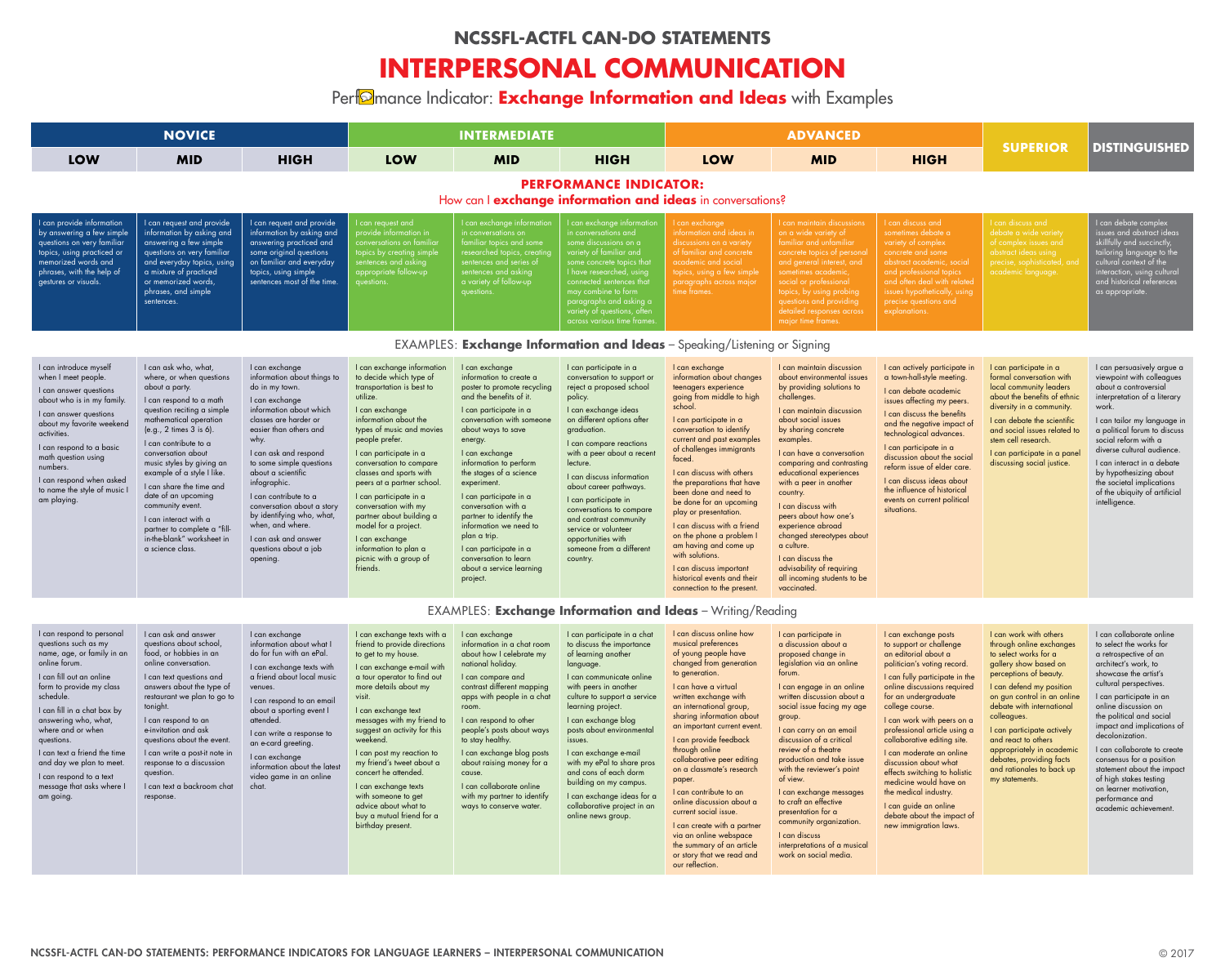NCSSFL-ACTFL CAN-DO STATEMENTS: PERFORMANCE INDICATORS FOR LANGUAGE LEARNERS – INTERPERSONAL COMMUNICATION © 2017

## **SUPERIOR DISTINGUISHED**

### ng or Signing

I can discuss and sometimes debate a variety of complex concrete and some abstract academic, social and professional topics

issues hypothetically, using explanations.

debate a wide variety of complex issues and

I can debate complex issues and abstract ideas skillfully and succinctly, tailoring language to the cultural context of the interaction, using cultural and historical references as appropriate.

|                                                                                                                                                                                                                                                                                                                                                                                                  | <b>NOVICE</b>                                                                                                                                                                                                                                                                                                                                                                                                                                                                |                                                                                                                                                                                                                                                                                                                                                                                                                                         |                                                                                                                                                                                                                                                                                                                                                                                                                                                                                                | <b>INTERMEDIATE</b>                                                                                                                                                                                                                                                                                                                                                                                                                                                                                |                                                                                                                                                                                                                                                                                                                                                                                                                                                                    |                                                                                                                                                                                                                                                                                                                                                                                                                                                                                                                                                                                                     | <b>ADVANCED</b>                                                                                                                                                                                                                                                                                                                                                                                                                                                                                                                                 |                                                                                                                                                                                                                                                                                                                                                                                                                                          |
|--------------------------------------------------------------------------------------------------------------------------------------------------------------------------------------------------------------------------------------------------------------------------------------------------------------------------------------------------------------------------------------------------|------------------------------------------------------------------------------------------------------------------------------------------------------------------------------------------------------------------------------------------------------------------------------------------------------------------------------------------------------------------------------------------------------------------------------------------------------------------------------|-----------------------------------------------------------------------------------------------------------------------------------------------------------------------------------------------------------------------------------------------------------------------------------------------------------------------------------------------------------------------------------------------------------------------------------------|------------------------------------------------------------------------------------------------------------------------------------------------------------------------------------------------------------------------------------------------------------------------------------------------------------------------------------------------------------------------------------------------------------------------------------------------------------------------------------------------|----------------------------------------------------------------------------------------------------------------------------------------------------------------------------------------------------------------------------------------------------------------------------------------------------------------------------------------------------------------------------------------------------------------------------------------------------------------------------------------------------|--------------------------------------------------------------------------------------------------------------------------------------------------------------------------------------------------------------------------------------------------------------------------------------------------------------------------------------------------------------------------------------------------------------------------------------------------------------------|-----------------------------------------------------------------------------------------------------------------------------------------------------------------------------------------------------------------------------------------------------------------------------------------------------------------------------------------------------------------------------------------------------------------------------------------------------------------------------------------------------------------------------------------------------------------------------------------------------|-------------------------------------------------------------------------------------------------------------------------------------------------------------------------------------------------------------------------------------------------------------------------------------------------------------------------------------------------------------------------------------------------------------------------------------------------------------------------------------------------------------------------------------------------|------------------------------------------------------------------------------------------------------------------------------------------------------------------------------------------------------------------------------------------------------------------------------------------------------------------------------------------------------------------------------------------------------------------------------------------|
| <b>LOW</b>                                                                                                                                                                                                                                                                                                                                                                                       | <b>MID</b>                                                                                                                                                                                                                                                                                                                                                                                                                                                                   | <b>HIGH</b>                                                                                                                                                                                                                                                                                                                                                                                                                             | <b>LOW</b>                                                                                                                                                                                                                                                                                                                                                                                                                                                                                     | <b>MID</b>                                                                                                                                                                                                                                                                                                                                                                                                                                                                                         | <b>HIGH</b>                                                                                                                                                                                                                                                                                                                                                                                                                                                        | <b>LOW</b>                                                                                                                                                                                                                                                                                                                                                                                                                                                                                                                                                                                          | <b>MID</b>                                                                                                                                                                                                                                                                                                                                                                                                                                                                                                                                      | <b>HIGH</b>                                                                                                                                                                                                                                                                                                                                                                                                                              |
|                                                                                                                                                                                                                                                                                                                                                                                                  |                                                                                                                                                                                                                                                                                                                                                                                                                                                                              |                                                                                                                                                                                                                                                                                                                                                                                                                                         |                                                                                                                                                                                                                                                                                                                                                                                                                                                                                                | How can I exchange information and ideas in conversations?                                                                                                                                                                                                                                                                                                                                                                                                                                         | <b>PERFORMANCE INDICATOR:</b>                                                                                                                                                                                                                                                                                                                                                                                                                                      |                                                                                                                                                                                                                                                                                                                                                                                                                                                                                                                                                                                                     |                                                                                                                                                                                                                                                                                                                                                                                                                                                                                                                                                 |                                                                                                                                                                                                                                                                                                                                                                                                                                          |
| I can provide information<br>by answering a few simple<br>questions on very familiar<br>topics, using practiced or<br>memorized words and<br>phrases, with the help of<br>gestures or visuals.                                                                                                                                                                                                   | I can request and provide<br>information by asking and<br>answering a few simple<br>questions on very familiar<br>and everyday topics, using<br>a mixture of practiced<br>or memorized words,<br>phrases, and simple<br>sentences.                                                                                                                                                                                                                                           | I can request and provide<br>information by asking and<br>answering practiced and<br>some original questions<br>on familiar and everyday<br>topics, using simple<br>sentences most of the time.                                                                                                                                                                                                                                         | I can request and<br>provide information in<br>conversations on familiar<br>topics by creating simple<br>sentences and asking<br>appropriate follow-up<br>questions.                                                                                                                                                                                                                                                                                                                           | I can exchange information<br>in conversations on<br>familiar topics and some<br>researched topics, creating<br>sentences and series of<br>sentences and asking<br>a variety of follow-up<br>questions.                                                                                                                                                                                                                                                                                            | I can exchange information<br>in conversations and<br>some discussions on a<br>variety of familiar and<br>some concrete topics that<br>I have researched, using<br>connected sentences that<br>may combine to form<br>paragraphs and asking a<br>variety of questions, often<br>across various time frames.                                                                                                                                                        | I can exchange<br>information and ideas in<br>discussions on a variety<br>of familiar and concrete<br>academic and social<br>topics, using a few simple<br>paragraphs across major<br>time frames.                                                                                                                                                                                                                                                                                                                                                                                                  | I can maintain discussions<br>on a wide variety of<br>familiar and unfamiliar<br>concrete topics of personal<br>and general interest, and<br>sometimes academic,<br>social or professional<br>topics, by using probing<br>questions and providing<br>detailed responses across<br>major time frames.                                                                                                                                                                                                                                            | I can discuss and<br>sometimes debate<br>variety of complex<br>concrete and some<br>abstract academic<br>and professional to<br>and often deal with<br>issues hypothetical<br>precise questions c<br>explanations.                                                                                                                                                                                                                       |
|                                                                                                                                                                                                                                                                                                                                                                                                  |                                                                                                                                                                                                                                                                                                                                                                                                                                                                              |                                                                                                                                                                                                                                                                                                                                                                                                                                         |                                                                                                                                                                                                                                                                                                                                                                                                                                                                                                | EXAMPLES: Exchange Information and Ideas - Speaking/Listening or Signing                                                                                                                                                                                                                                                                                                                                                                                                                           |                                                                                                                                                                                                                                                                                                                                                                                                                                                                    |                                                                                                                                                                                                                                                                                                                                                                                                                                                                                                                                                                                                     |                                                                                                                                                                                                                                                                                                                                                                                                                                                                                                                                                 |                                                                                                                                                                                                                                                                                                                                                                                                                                          |
| I can introduce myself<br>when I meet people.<br>I can answer questions<br>about who is in my family.<br>I can answer questions<br>about my favorite weekend<br>activities.<br>I can respond to a basic<br>math question using<br>numbers.<br>I can respond when asked<br>to name the style of music I<br>am playing.                                                                            | I can ask who, what,<br>where, or when questions<br>about a party.<br>I can respond to a math<br>question reciting a simple<br>mathematical operation<br>(e.g., 2 times 3 is 6).<br>I can contribute to a<br>conversation about<br>music styles by giving an<br>example of a style I like.<br>I can share the time and<br>date of an upcoming<br>community event.<br>I can interact with a<br>partner to complete a "fill-<br>in-the-blank" worksheet in<br>a science class. | I can exchange<br>information about things to<br>do in my town.<br>I can exchange<br>information about which<br>classes are harder or<br>easier than others and<br>why.<br>I can ask and respond<br>to some simple questions<br>about a scientific<br>infographic.<br>I can contribute to a<br>conversation about a story<br>by identifying who, what,<br>when, and where.<br>I can ask and answer<br>questions about a job<br>opening. | I can exchange information<br>to decide which type of<br>transportation is best to<br>utilize.<br>I can exchange<br>information about the<br>types of music and movies<br>people prefer.<br>I can participate in a<br>conversation to compare<br>classes and sports with<br>peers at a partner school.<br>I can participate in a<br>conversation with my<br>partner about building a<br>model for a project.<br>I can exchange<br>information to plan a<br>picnic with a group of<br>friends.  | I can exchange<br>information to create a<br>poster to promote recycling<br>and the benefits of it.<br>I can participate in a<br>conversation with someone<br>about ways to save<br>energy.<br>I can exchange<br>information to perform<br>the stages of a science<br>experiment.<br>I can participate in a<br>conversation with a<br>partner to identify the<br>information we need to<br>plan a trip.<br>I can participate in a<br>conversation to learn<br>about a service learning<br>project. | I can participate in a<br>conversation to support or<br>reject a proposed school<br>policy.<br>I can exchange ideas<br>on different options after<br>graduation.<br>I can compare reactions<br>with a peer about a recent<br>lecture.<br>I can discuss information<br>about career pathways.<br>I can participate in<br>conversations to compare<br>and contrast community<br>service or volunteer<br>opportunities with<br>someone from a different<br>country.   | I can exchange<br>information about changes<br>teenagers experience<br>going from middle to high<br>school.<br>I can participate in a<br>conversation to identify<br>current and past examples<br>of challenges immigrants<br>faced.<br>I can discuss with others<br>the preparations that have<br>been done and need to<br>be done for an upcoming<br>play or presentation.<br>I can discuss with a friend<br>on the phone a problem I<br>am having and come up<br>with solutions.<br>I can discuss important<br>historical events and their<br>connection to the present.                         | I can maintain discussion<br>about environmental issues<br>by providing solutions to<br>challenges.<br>I can maintain discussion<br>about social issues<br>by sharing concrete<br>examples.<br>I can have a conversation<br>comparing and contrasting<br>educational experiences<br>with a peer in another<br>country.<br>I can discuss with<br>peers about how one's<br>experience abroad<br>changed stereotypes about<br>a culture.<br>I can discuss the<br>advisability of requiring<br>all incoming students to be<br>vaccinated.           | I can actively parti-<br>a town-hall-style me<br>I can debate acade<br>issues affecting my<br>I can discuss the be<br>and the negative in<br>technological adva<br>I can participate in<br>discussion about th<br>reform issue of eld<br>I can discuss ideas<br>the influence of his<br>events on current p<br>situations.                                                                                                               |
|                                                                                                                                                                                                                                                                                                                                                                                                  |                                                                                                                                                                                                                                                                                                                                                                                                                                                                              |                                                                                                                                                                                                                                                                                                                                                                                                                                         |                                                                                                                                                                                                                                                                                                                                                                                                                                                                                                | <b>EXAMPLES: Exchange Information and Ideas</b> - Writing/Reading                                                                                                                                                                                                                                                                                                                                                                                                                                  |                                                                                                                                                                                                                                                                                                                                                                                                                                                                    |                                                                                                                                                                                                                                                                                                                                                                                                                                                                                                                                                                                                     |                                                                                                                                                                                                                                                                                                                                                                                                                                                                                                                                                 |                                                                                                                                                                                                                                                                                                                                                                                                                                          |
| I can respond to personal<br>questions such as my<br>name, age, or family in an<br>online forum.<br>I can fill out an online<br>form to provide my class<br>schedule.<br>I can fill in a chat box by<br>answering who, what,<br>where and or when<br>questions.<br>I can text a friend the time<br>and day we plan to meet.<br>I can respond to a text<br>message that asks where I<br>am going. | I can ask and answer<br>questions about school,<br>food, or hobbies in an<br>online conversation.<br>I can text questions and<br>answers about the type of<br>restaurant we plan to go to<br>tonight.<br>I can respond to an<br>e-invitation and ask<br>questions about the event.<br>I can write a post-it note in<br>response to a discussion<br>question.<br>I can text a backroom chat<br>response.                                                                      | I can exchange<br>information about what I<br>do for fun with an ePal.<br>I can exchange texts with<br>a friend about local music<br>venues.<br>I can respond to an email<br>about a sporting event I<br>attended.<br>I can write a response to<br>an e-card greeting.<br>I can exchange<br>information about the latest<br>video game in an online<br>chat.                                                                            | I can exchange texts with a<br>friend to provide directions<br>to get to my house.<br>I can exchange e-mail with<br>a tour operator to find out<br>more details about my<br>visit.<br>I can exchange text<br>messages with my friend to<br>suggest an activity for this<br>weekend.<br>I can post my reaction to<br>my friend's tweet about a<br>concert he attended.<br>I can exchange texts<br>with someone to get<br>advice about what to<br>buy a mutual friend for a<br>birthday present. | I can exchange<br>information in a chat room<br>about how I celebrate my<br>national holiday.<br>I can compare and<br>contrast different mapping<br>apps with people in a chat<br>room.<br>I can respond to other<br>people's posts about ways<br>to stay healthy.<br>I can exchange blog posts<br>about raising money for a<br>cause.<br>I can collaborate online<br>with my partner to identify<br>ways to conserve water.                                                                       | I can participate in a chat<br>to discuss the importance<br>of learning another<br>language.<br>I can communicate online<br>with peers in another<br>culture to support a service<br>learning project.<br>I can exchange blog<br>posts about environmental<br>issues.<br>I can exchange e-mail<br>with my ePal to share pros<br>and cons of each dorm<br>building on my campus.<br>I can exchange ideas for a<br>collaborative project in an<br>online news group. | I can discuss online how<br>musical preferences<br>of young people have<br>changed from generation<br>to generation.<br>I can have a virtual<br>written exchange with<br>an international group,<br>sharing information about<br>an important current event.<br>I can provide feedback<br>through online<br>collaborative peer editing<br>on a classmate's research<br>paper.<br>I can contribute to an<br>online discussion about a<br>current social issue.<br>I can create with a partner<br>via an online webspace<br>the summary of an article<br>or story that we read and<br>our reflection. | I can participate in<br>a discussion about a<br>proposed change in<br>legislation via an online<br>forum.<br>I can engage in an online<br>written discussion about a<br>social issue facing my age<br>group.<br>I can carry on an email<br>discussion of a critical<br>review of a theatre<br>production and take issue<br>with the reviewer's point<br>of view.<br>I can exchange messages<br>to craft an effective<br>presentation for a<br>community organization.<br>I can discuss<br>interpretations of a musical<br>work on social media. | I can exchange po<br>to support or chall<br>an editorial about<br>politician's voting r<br>I can fully participe<br>online discussions<br>for an undergradue<br>college course.<br>I can work with pe<br>professional article<br>collaborative editir<br>I can moderate an<br>discussion about w<br>effects switching to<br>medicine would ho<br>the medical industr<br>I can guide an onli<br>debate about the in<br>new immigration la |

I can actively participate in a town-hall-style meeting. I can debate academic issues affecting my peers.

I can discuss the benefits and the negative impact of technological advances.

I can participate in a discussion about the social reform issue of elder care.

I can discuss ideas about the influence of historical events on current political situations.

I can participate in a formal conversation with local community leaders about the benefits of ethnic diversity in a community.

I can debate the scientific and social issues related to stem cell research.

I can participate in a panel discussing social justice.

I can persuasively argue a viewpoint with colleagues about a controversial interpretation of a literary work.

I can tailor my language in a political forum to discuss social reform with a diverse cultural audience.

I can interact in a debate by hypothesizing about the societal implications of the ubiquity of artificial intelligence.

I can exchange posts to support or challenge an editorial about a politician's voting record. I can fully participate in the online discussions required for an undergraduate

college course. I can work with peers on a professional article using a

collaborative editing site. I can moderate an online discussion about what effects switching to holistic medicine would have on the medical industry.

I can guide an online debate about the impact of new immigration laws.

I can work with others through online exchanges to select works for a gallery show based on perceptions of beauty.

I can defend my position on gun control in an online debate with international colleagues.

I can participate actively and react to others appropriately in academic debates, providing facts and rationales to back up my statements.

I can collaborate online to select the works for a retrospective of an architect's work, to showcase the artist's cultural perspectives.

I can participate in an online discussion on the political and social impact and implications of decolonization.

I can collaborate to create consensus for a position statement about the impact of high stakes testing on learner motivation, performance and academic achievement.

## **NCSSFL-ACTFL CAN-DO STATEMENTS**

# **INTERPERSONAL COMMUNICATION**

# Performance Indicator: **Exchange Information and Ideas** with Examples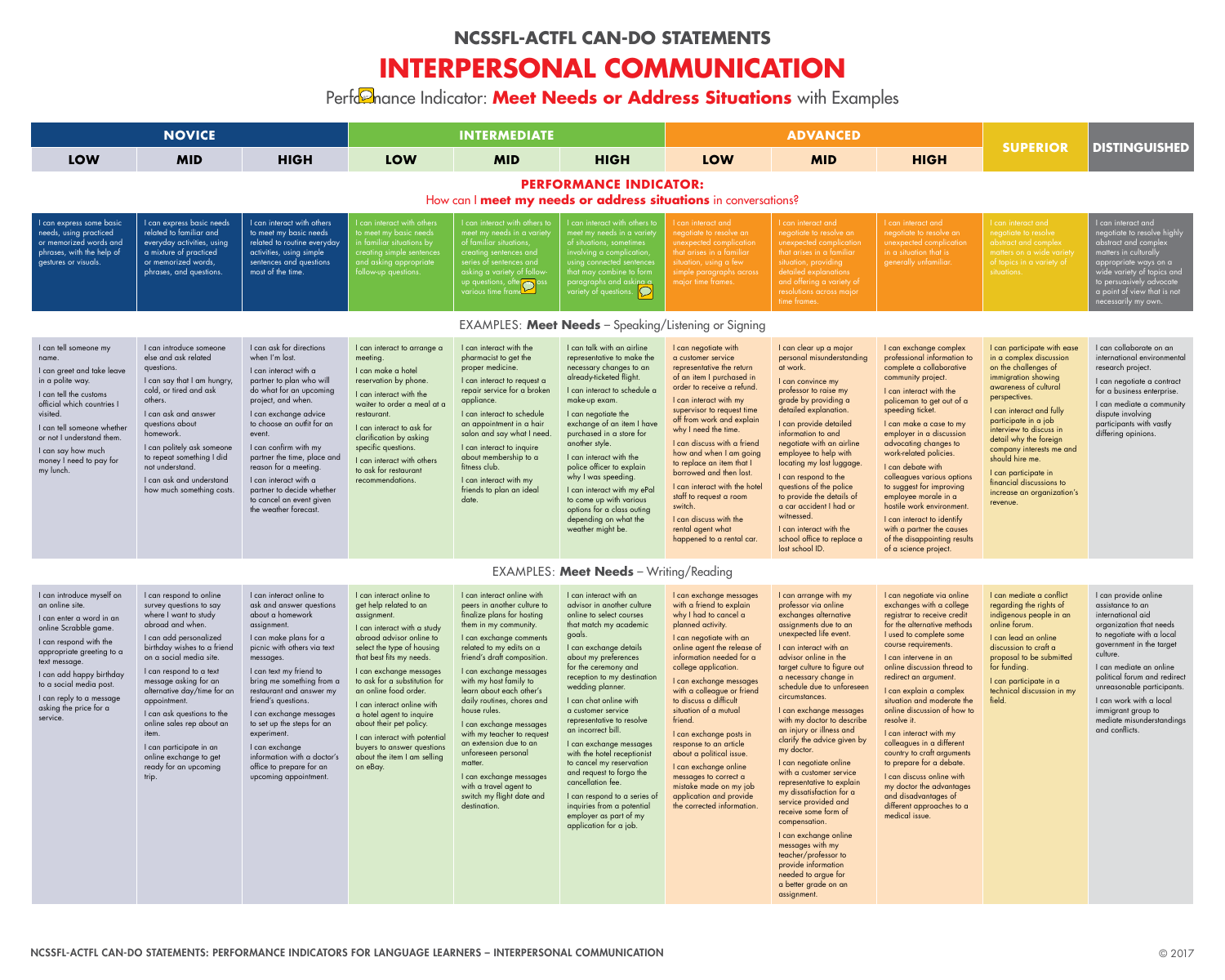|                                                                                                                                                                                                                                                                                                    | <b>NOVICE</b><br><b>INTERMEDIATE</b>                                                                                                                                                                                                                                                                                                                                                                                                              |                                                                                                                                                                                                                                                                                                                                                                                                                                                        | <b>ADVANCED</b>                                                                                                                                                                                                                                                                                                                                                                                                                                                            |                                                                                                                                                                                                                                                                                                                                                                                                                                                                                                                                                             |                                                                                                                                                                                                                                                                                                                                                                                                                                                                                                                                                                                                              |                                                                                                                                                                                                                                                                                                                                                                                                                                                                                                                                                              |                                                                                                                                                                                                                                                                                                                                                                                                                                                                                                                                                                                                                                                                                                                                                                 |                                                                                                                                                                                                                                                                                                                                                                                                                                                                                                                                                                                                                  |                                                                                                                                                                                                                                                                                                                                                                                                       |                                                                                                                                                                                                                                                                                                                                                        |  |
|----------------------------------------------------------------------------------------------------------------------------------------------------------------------------------------------------------------------------------------------------------------------------------------------------|---------------------------------------------------------------------------------------------------------------------------------------------------------------------------------------------------------------------------------------------------------------------------------------------------------------------------------------------------------------------------------------------------------------------------------------------------|--------------------------------------------------------------------------------------------------------------------------------------------------------------------------------------------------------------------------------------------------------------------------------------------------------------------------------------------------------------------------------------------------------------------------------------------------------|----------------------------------------------------------------------------------------------------------------------------------------------------------------------------------------------------------------------------------------------------------------------------------------------------------------------------------------------------------------------------------------------------------------------------------------------------------------------------|-------------------------------------------------------------------------------------------------------------------------------------------------------------------------------------------------------------------------------------------------------------------------------------------------------------------------------------------------------------------------------------------------------------------------------------------------------------------------------------------------------------------------------------------------------------|--------------------------------------------------------------------------------------------------------------------------------------------------------------------------------------------------------------------------------------------------------------------------------------------------------------------------------------------------------------------------------------------------------------------------------------------------------------------------------------------------------------------------------------------------------------------------------------------------------------|--------------------------------------------------------------------------------------------------------------------------------------------------------------------------------------------------------------------------------------------------------------------------------------------------------------------------------------------------------------------------------------------------------------------------------------------------------------------------------------------------------------------------------------------------------------|-----------------------------------------------------------------------------------------------------------------------------------------------------------------------------------------------------------------------------------------------------------------------------------------------------------------------------------------------------------------------------------------------------------------------------------------------------------------------------------------------------------------------------------------------------------------------------------------------------------------------------------------------------------------------------------------------------------------------------------------------------------------|------------------------------------------------------------------------------------------------------------------------------------------------------------------------------------------------------------------------------------------------------------------------------------------------------------------------------------------------------------------------------------------------------------------------------------------------------------------------------------------------------------------------------------------------------------------------------------------------------------------|-------------------------------------------------------------------------------------------------------------------------------------------------------------------------------------------------------------------------------------------------------------------------------------------------------------------------------------------------------------------------------------------------------|--------------------------------------------------------------------------------------------------------------------------------------------------------------------------------------------------------------------------------------------------------------------------------------------------------------------------------------------------------|--|
| LOW                                                                                                                                                                                                                                                                                                | <b>MID</b>                                                                                                                                                                                                                                                                                                                                                                                                                                        | <b>HIGH</b>                                                                                                                                                                                                                                                                                                                                                                                                                                            | <b>LOW</b>                                                                                                                                                                                                                                                                                                                                                                                                                                                                 | <b>MID</b>                                                                                                                                                                                                                                                                                                                                                                                                                                                                                                                                                  | <b>HIGH</b>                                                                                                                                                                                                                                                                                                                                                                                                                                                                                                                                                                                                  | <b>LOW</b>                                                                                                                                                                                                                                                                                                                                                                                                                                                                                                                                                   | <b>MID</b>                                                                                                                                                                                                                                                                                                                                                                                                                                                                                                                                                                                                                                                                                                                                                      | <b>HIGH</b>                                                                                                                                                                                                                                                                                                                                                                                                                                                                                                                                                                                                      | <b>SUPERIOR</b>                                                                                                                                                                                                                                                                                                                                                                                       | <b>DISTINGUISHED</b>                                                                                                                                                                                                                                                                                                                                   |  |
|                                                                                                                                                                                                                                                                                                    |                                                                                                                                                                                                                                                                                                                                                                                                                                                   |                                                                                                                                                                                                                                                                                                                                                                                                                                                        |                                                                                                                                                                                                                                                                                                                                                                                                                                                                            |                                                                                                                                                                                                                                                                                                                                                                                                                                                                                                                                                             | <b>PERFORMANCE INDICATOR:</b>                                                                                                                                                                                                                                                                                                                                                                                                                                                                                                                                                                                | How can I meet my needs or address situations in conversations?                                                                                                                                                                                                                                                                                                                                                                                                                                                                                              |                                                                                                                                                                                                                                                                                                                                                                                                                                                                                                                                                                                                                                                                                                                                                                 |                                                                                                                                                                                                                                                                                                                                                                                                                                                                                                                                                                                                                  |                                                                                                                                                                                                                                                                                                                                                                                                       |                                                                                                                                                                                                                                                                                                                                                        |  |
| I can express some basic<br>needs, using practiced<br>or memorized words and<br>phrases, with the help of<br>gestures or visuals                                                                                                                                                                   | I can express basic needs<br>related to familiar and<br>everyday activities, using<br>a mixture of practiced<br>or memorized words,<br>phrases, and questions.                                                                                                                                                                                                                                                                                    | I can interact with others<br>to meet my basic needs<br>related to routine everyday<br>activities, using simple<br>sentences and questions<br>most of the time.                                                                                                                                                                                                                                                                                        | I can interact with others<br>to meet my basic needs<br>in familiar situations by<br>creating simple sentences<br>and asking appropriate<br>follow-up questions.                                                                                                                                                                                                                                                                                                           | I can interact with others to<br>meet my needs in a variet<br>of familiar situations,<br>creating sentences and<br>series of sentences and<br>asking a variety of follow<br>up questions, ofter nios<br>various time frame                                                                                                                                                                                                                                                                                                                                  | can interact with others to<br>meet my needs in a variety<br>of situations, sometimes<br>involving a complication,<br>using connected sentences<br>that may combine to form<br>paragraphs and asking a<br>variety of questions. $\boxed{\bigcirc}$                                                                                                                                                                                                                                                                                                                                                           | can interact and<br>negotiate to resolve an<br>unexpected complication<br>that arises in a familiar<br>situation, using a few<br>simple paragraphs across<br>major time frames.                                                                                                                                                                                                                                                                                                                                                                              | I can interact and<br>negotiate to resolve an<br>unexpected complication<br>that arises in a familiar<br>situation, providing<br>detailed explanations<br>and offering a variety of<br>resolutions across major<br>time frames.                                                                                                                                                                                                                                                                                                                                                                                                                                                                                                                                 | I can interact and<br>negotiate to resolve an<br>unexpected complication<br>in a situation that is<br>generally unfamiliar.                                                                                                                                                                                                                                                                                                                                                                                                                                                                                      | l can interact and<br>negotiate to resolve<br>abstract and complex<br>matters on a wide variety<br>of topics in a variety of<br>situations.                                                                                                                                                                                                                                                           | I can interact and<br>negotiate to resolve highly<br>abstract and complex<br>matters in culturally<br>appropriate ways on a<br>wide variety of topics and<br>to persuasively advocate<br>a point of view that is not<br>necessarily my own.                                                                                                            |  |
|                                                                                                                                                                                                                                                                                                    | EXAMPLES: Meet Needs - Speaking/Listening or Signing                                                                                                                                                                                                                                                                                                                                                                                              |                                                                                                                                                                                                                                                                                                                                                                                                                                                        |                                                                                                                                                                                                                                                                                                                                                                                                                                                                            |                                                                                                                                                                                                                                                                                                                                                                                                                                                                                                                                                             |                                                                                                                                                                                                                                                                                                                                                                                                                                                                                                                                                                                                              |                                                                                                                                                                                                                                                                                                                                                                                                                                                                                                                                                              |                                                                                                                                                                                                                                                                                                                                                                                                                                                                                                                                                                                                                                                                                                                                                                 |                                                                                                                                                                                                                                                                                                                                                                                                                                                                                                                                                                                                                  |                                                                                                                                                                                                                                                                                                                                                                                                       |                                                                                                                                                                                                                                                                                                                                                        |  |
| I can tell someone my<br>name.<br>I can greet and take leave<br>in a polite way.<br>I can tell the customs<br>official which countries I<br>visited.<br>I can tell someone whether<br>or not I understand them.<br>I can say how much<br>money I need to pay for<br>my lunch.                      | I can introduce someone<br>else and ask related<br>questions.<br>I can say that I am hungry<br>cold, or tired and ask<br>others.<br>I can ask and answer<br>questions about<br>homework.<br>I can politely ask someone<br>to repeat something I did<br>not understand.<br>I can ask and understand<br>how much something costs.                                                                                                                   | I can ask for directions<br>when I'm lost.<br>I can interact with a<br>partner to plan who will<br>do what for an upcoming<br>project, and when.<br>I can exchange advice<br>to choose an outfit for an<br>event.<br>I can confirm with my<br>partner the time, place and<br>reason for a meeting.<br>I can interact with a<br>partner to decide whether<br>to cancel an event given<br>the weather forecast.                                          | I can interact to arrange a<br>meeting.<br>I can make a hotel<br>reservation by phone.<br>I can interact with the<br>waiter to order a meal at a<br>restaurant.<br>I can interact to ask for<br>clarification by asking<br>specific questions.<br>I can interact with others<br>to ask for restaurant<br>recommendations.                                                                                                                                                  | I can interact with the<br>pharmacist to get the<br>proper medicine.<br>I can interact to request a<br>repair service for a broken<br>appliance.<br>I can interact to schedule<br>an appointment in a hair<br>salon and say what I need<br>I can interact to inquire<br>about membership to a<br>fitness club.<br>I can interact with my<br>friends to plan an ideal<br>date.                                                                                                                                                                               | I can talk with an airline<br>representative to make the<br>necessary changes to an<br>already-ticketed flight.<br>I can interact to schedule a<br>make-up exam.<br>I can negotiate the<br>exchange of an item I have<br>purchased in a store for<br>another style.<br>I can interact with the<br>police officer to explain<br>why I was speeding.<br>I can interact with my ePal<br>to come up with various<br>options for a class outing<br>depending on what the<br>weather might be.                                                                                                                     | I can negotiate with<br>a customer service<br>representative the return<br>of an item I purchased in<br>order to receive a refund.<br>I can interact with my<br>supervisor to request time<br>off from work and explain<br>why I need the time.<br>I can discuss with a friend<br>how and when I am going<br>to replace an item that I<br>borrowed and then lost.<br>I can interact with the hotel<br>staff to request a room<br>switch.<br>I can discuss with the<br>rental agent what<br>happened to a rental car.                                         | I can clear up a major<br>personal misunderstanding<br>at work.<br>I can convince my<br>professor to raise my<br>grade by providing a<br>detailed explanation.<br>I can provide detailed<br>information to and<br>negotiate with an airline<br>employee to help with<br>locating my lost luggage<br>I can respond to the<br>questions of the police<br>to provide the details of<br>a car accident I had or<br>witnessed.<br>I can interact with the<br>school office to replace a<br>lost school ID.                                                                                                                                                                                                                                                           | I can exchange complex<br>professional information to<br>complete a collaborative<br>community project.<br>I can interact with the<br>policeman to get out of a<br>speeding ticket.<br>I can make a case to my<br>employer in a discussion<br>advocating changes to<br>work-related policies.<br>I can debate with<br>colleagues various options<br>to suggest for improving<br>employee morale in a<br>hostile work environment.<br>I can interact to identify<br>with a partner the causes<br>of the disappointing results<br>of a science project.                                                            | I can participate with ease<br>in a complex discussion<br>on the challenges of<br>immigration showing<br>awareness of cultural<br>perspectives.<br>I can interact and fully<br>participate in a job<br>interview to discuss in<br>detail why the foreign<br>company interests me and<br>should hire me.<br>I can participate in<br>financial discussions to<br>increase an organization's<br>revenue. | I can collaborate on an<br>international environmental<br>research project.<br>I can negotiate a contract<br>for a business enterprise.<br>I can mediate a community<br>dispute involving<br>participants with vastly<br>differing opinions.                                                                                                           |  |
|                                                                                                                                                                                                                                                                                                    |                                                                                                                                                                                                                                                                                                                                                                                                                                                   |                                                                                                                                                                                                                                                                                                                                                                                                                                                        |                                                                                                                                                                                                                                                                                                                                                                                                                                                                            |                                                                                                                                                                                                                                                                                                                                                                                                                                                                                                                                                             | <b>EXAMPLES: Meet Needs</b> – Writing/Reading                                                                                                                                                                                                                                                                                                                                                                                                                                                                                                                                                                |                                                                                                                                                                                                                                                                                                                                                                                                                                                                                                                                                              |                                                                                                                                                                                                                                                                                                                                                                                                                                                                                                                                                                                                                                                                                                                                                                 |                                                                                                                                                                                                                                                                                                                                                                                                                                                                                                                                                                                                                  |                                                                                                                                                                                                                                                                                                                                                                                                       |                                                                                                                                                                                                                                                                                                                                                        |  |
| I can introduce myself on<br>an online site.<br>I can enter a word in an<br>online Scrabble game.<br>I can respond with the<br>appropriate greeting to a<br>text message.<br>I can add happy birthday<br>to a social media post.<br>I can reply to a message<br>asking the price for a<br>service. | I can respond to online<br>survey questions to say<br>where I want to study<br>abroad and when.<br>I can add personalized<br>birthday wishes to a friend<br>on a social media site.<br>I can respond to a text<br>message asking for an<br>alternative day/time for an<br>appointment.<br>I can ask questions to the<br>online sales rep about an<br>item.<br>I can participate in an<br>online exchange to get<br>ready for an upcoming<br>trip. | I can interact online to<br>ask and answer questions<br>about a homework<br>assignment.<br>I can make plans for a<br>picnic with others via text<br>messages.<br>I can text my friend to<br>bring me something from a<br>restaurant and answer my<br>friend's questions.<br>I can exchange messages<br>to set up the steps for an<br>experiment.<br>I can exchange<br>information with a doctor's<br>office to prepare for an<br>upcoming appointment. | I can interact online to<br>get help related to an<br>assignment.<br>I can interact with a study<br>abroad advisor online to<br>select the type of housing<br>that best fits my needs.<br>I can exchange messages<br>to ask for a substitution for<br>an online food order.<br>I can interact online with<br>a hotel agent to inquire<br>about their pet policy.<br>I can interact with potential<br>buyers to answer questions<br>about the item I am selling<br>on eBay. | I can interact online with<br>peers in another culture to<br>finalize plans for hosting<br>them in my community.<br>I can exchange comments<br>related to my edits on a<br>friend's draft composition<br>I can exchange messages<br>with my host family to<br>learn about each other's<br>daily routines, chores and<br>house rules.<br>I can exchange messages<br>with my teacher to request<br>an extension due to an<br>unforeseen personal<br>matter.<br>I can exchange message:<br>with a travel agent to<br>switch my flight date and<br>destination. | I can interact with an<br>advisor in another culture<br>online to select courses<br>that match my academic<br>goals.<br>I can exchange details<br>about my preferences<br>for the ceremony and<br>reception to my destination<br>wedding planner.<br>I can chat online with<br>a customer service<br>representative to resolve<br>an incorrect bill<br>I can exchange messages<br>with the hotel receptionist<br>to cancel my reservation<br>and request to forgo the<br>cancellation fee.<br>I can respond to a series of<br>inquiries from a potential<br>employer as part of my<br>application for a job. | I can exchange messages<br>with a friend to explain<br>why I had to cancel a<br>planned activity.<br>I can negotiate with an<br>online agent the release of<br>information needed for a<br>college application.<br>I can exchange messages<br>with a colleague or friend<br>to discuss a difficult<br>situation of a mutual<br>friend.<br>I can exchange posts in<br>response to an article<br>about a political issue.<br>I can exchange online<br>messages to correct a<br>mistake made on my job<br>application and provide<br>the corrected information. | I can arrange with my<br>professor via online<br>exchanges alternative<br>assignments due to an<br>unexpected life event<br>I can interact with an<br>advisor online in the<br>target culture to figure out<br>a necessary change in<br>schedule due to unforeseer<br>circumstances.<br>I can exchange messages<br>with my doctor to describe<br>an injury or illness and<br>clarify the advice given by<br>my doctor.<br>I can negotiate online<br>with a customer service<br>representative to explain<br>my dissatisfaction for a<br>service provided and<br>receive some form of<br>compensation.<br>I can exchange online<br>messages with my<br>teacher/professor to<br>provide information<br>needed to argue for<br>a better grade on an<br>assignment. | I can negotiate via online<br>exchanges with a college<br>registrar to receive credit<br>for the alternative methods<br>I used to complete some<br>course requirements.<br>I can intervene in an<br>online discussion thread to<br>redirect an argument.<br>I can explain a complex<br>situation and moderate the<br>online discussion of how to<br>resolve it.<br>I can interact with my<br>colleagues in a different<br>country to craft arguments<br>to prepare for a debate.<br>I can discuss online with<br>my doctor the advantages<br>and disadvantages of<br>different approaches to a<br>medical issue. | I can mediate a conflict<br>regarding the rights of<br>indigenous people in an<br>online forum.<br>I can lead an online<br>discussion to craft a<br>proposal to be submitted<br>for funding.<br>I can participate in a<br>technical discussion in my<br>field.                                                                                                                                        | I can provide online<br>assistance to an<br>international aid<br>organization that needs<br>to negotiate with a local<br>government in the target<br>culture.<br>I can mediate an online<br>political forum and redirect<br>unreasonable participants.<br>I can work with a local<br>immigrant group to<br>mediate misunderstandings<br>and conflicts. |  |

# **NCSSFL-ACTFL CAN-DO STATEMENTS**

# **INTERPERSONAL COMMUNICATION**

# Perfond and Examples Performance Indicator: Meet Needs or Address Situations with Examples